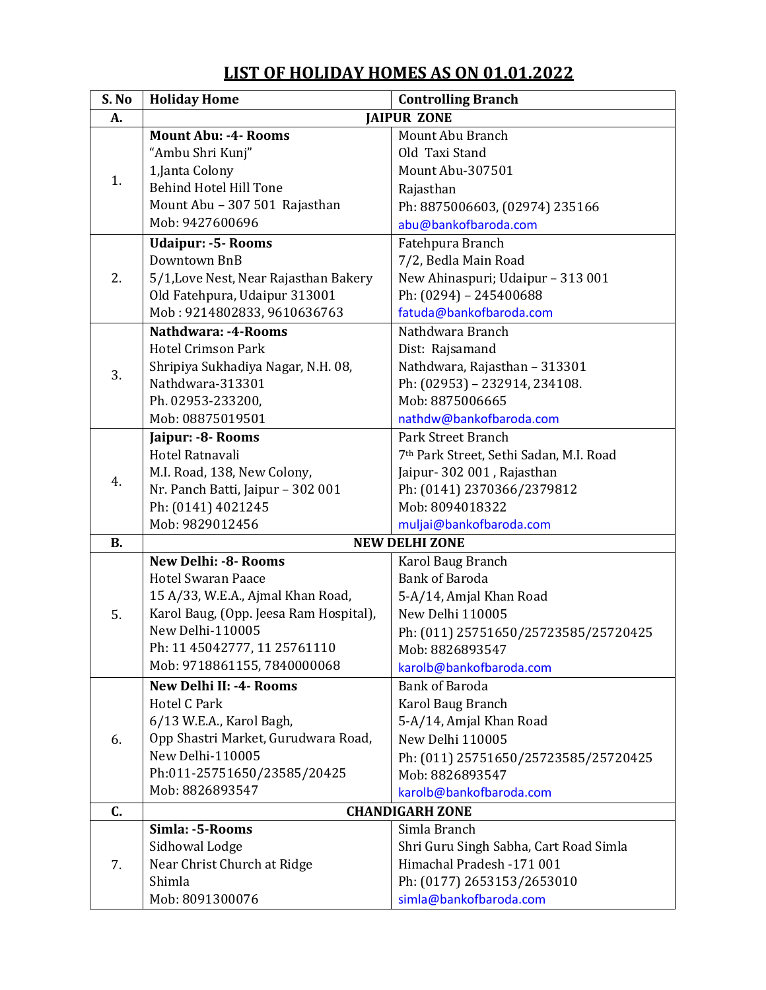## **S. No Holiday Home Controlling Branch A. JAIPUR ZONE** 1. **Mount Abu: -4- Rooms**  "Ambu Shri Kunj" 1,Janta Colony Behind Hotel Hill Tone Mount Abu – 307 501 Rajasthan Mob: 9427600696 Mount Abu Branch Old Taxi Stand Mount Abu-307501 Rajasthan Ph: 8875006603, (02974) 235166 [abu@bankofbaroda.com](mailto:abu@bankofbaroda.com) 2. **Udaipur: -5- Rooms**  Downtown BnB 5/1,Love Nest, Near Rajasthan Bakery Old Fatehpura, Udaipur 313001 Mob : 9214802833, 9610636763 Fatehpura Branch 7/2, Bedla Main Road New Ahinaspuri; Udaipur – 313 001 Ph: (0294) – 245400688 [fatuda@bankofbaroda.com](mailto:fatuda@bankofbaroda.com) 3. **Nathdwara: -4-Rooms**  Hotel Crimson Park Shripiya Sukhadiya Nagar, N.H. 08, Nathdwara-313301 Ph. 02953-233200, Mob: 08875019501 Nathdwara Branch Dist: Rajsamand Nathdwara, Rajasthan – 313301 Ph: (02953) – 232914, 234108. Mob: 8875006665 [nathdw@bankofbaroda.com](mailto:nathdw@bankofbaroda.com) 4. **Jaipur: -8- Rooms**  Hotel Ratnavali M.I. Road, 138, New Colony, Nr. Panch Batti, Jaipur – 302 001 Ph: (0141) 4021245 Mob: 9829012456 Park Street Branch 7th Park Street, Sethi Sadan, M.I. Road Jaipur- 302 001 , Rajasthan Ph: (0141) 2370366/2379812 Mob: 8094018322 [muljai@bankofbaroda.com](mailto:muljai@bankofbaroda.com) **B. NEW DELHI ZONE** 5. **New Delhi: -8- Rooms**  Hotel Swaran Paace 15 A/33, W.E.A., Ajmal Khan Road, Karol Baug, (Opp. Jeesa Ram Hospital), New Delhi-110005 Ph: 11 45042777, 11 25761110 Mob: 9718861155, 7840000068 Karol Baug Branch Bank of Baroda 5-A/14, Amjal Khan Road New Delhi 110005 Ph: (011) 25751650/25723585/25720425 Mob: 8826893547 [karolb@bankofbaroda.com](mailto:karolb@bankofbaroda.com) 6. **New Delhi II: -4- Rooms**  Hotel C Park 6/13 W.E.A., Karol Bagh, Opp Shastri Market, Gurudwara Road, New Delhi-110005 Ph:011-25751650/23585/20425 Mob: 8826893547 Bank of Baroda Karol Baug Branch 5-A/14, Amjal Khan Road New Delhi 110005 Ph: (011) 25751650/25723585/25720425 Mob: 8826893547 [karolb@bankofbaroda.com](mailto:karolb@bankofbaroda.com) **C. CHANDIGARH ZONE** 7. **Simla: -5-Rooms**  Sidhowal Lodge Near Christ Church at Ridge Shimla Mob: 8091300076 Simla Branch Shri Guru Singh Sabha, Cart Road Simla Himachal Pradesh -171 001 Ph: (0177) 2653153/2653010 [simla@bankofbaroda.com](mailto:simla@bankofbaroda.com)

## **LIST OF HOLIDAY HOMES AS ON 01.01.2022**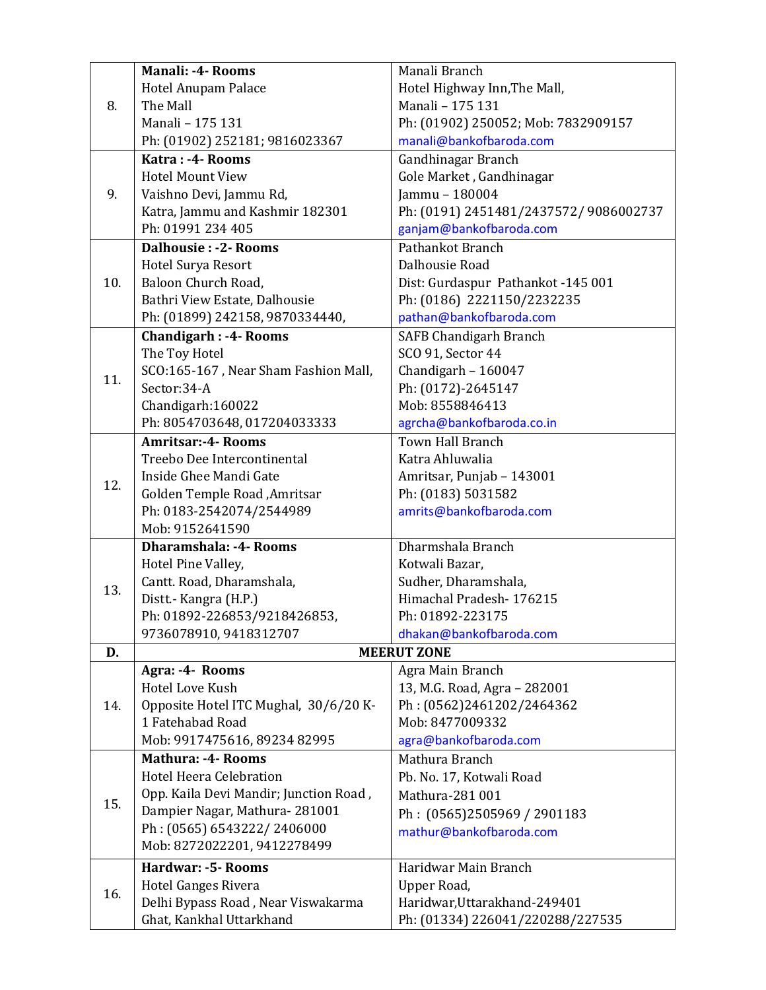| 8.  | <b>Manali: -4- Rooms</b>               | Manali Branch                          |
|-----|----------------------------------------|----------------------------------------|
|     | Hotel Anupam Palace                    | Hotel Highway Inn, The Mall,           |
|     | The Mall                               | Manali - 175 131                       |
|     | Manali - 175 131                       | Ph: (01902) 250052; Mob: 7832909157    |
|     | Ph: (01902) 252181; 9816023367         | manali@bankofbaroda.com                |
|     | Katra: -4- Rooms                       | Gandhinagar Branch                     |
|     | <b>Hotel Mount View</b>                | Gole Market, Gandhinagar               |
| 9.  | Vaishno Devi, Jammu Rd,                | Jammu - 180004                         |
|     | Katra, Jammu and Kashmir 182301        | Ph: (0191) 2451481/2437572/ 9086002737 |
|     | Ph: 01991 234 405                      | ganjam@bankofbaroda.com                |
|     | <b>Dalhousie: -2- Rooms</b>            | Pathankot Branch                       |
|     | <b>Hotel Surya Resort</b>              | Dalhousie Road                         |
| 10. | Baloon Church Road,                    | Dist: Gurdaspur Pathankot -145 001     |
|     | Bathri View Estate, Dalhousie          | Ph: (0186) 2221150/2232235             |
|     | Ph: (01899) 242158, 9870334440,        | pathan@bankofbaroda.com                |
|     | <b>Chandigarh : -4- Rooms</b>          | <b>SAFB Chandigarh Branch</b>          |
|     | The Toy Hotel                          | SCO 91, Sector 44                      |
|     | SCO:165-167, Near Sham Fashion Mall,   | Chandigarh - $160047$                  |
| 11. | Sector:34-A                            | Ph: (0172)-2645147                     |
|     | Chandigarh: 160022                     | Mob: 8558846413                        |
|     | Ph: 8054703648, 017204033333           | agrcha@bankofbaroda.co.in              |
|     | <b>Amritsar:-4- Rooms</b>              | Town Hall Branch                       |
|     | Treebo Dee Intercontinental            | Katra Ahluwalia                        |
| 12. | Inside Ghee Mandi Gate                 | Amritsar, Punjab - 143001              |
|     | Golden Temple Road, Amritsar           | Ph: (0183) 5031582                     |
|     | Ph: 0183-2542074/2544989               | amrits@bankofbaroda.com                |
|     | Mob: 9152641590                        |                                        |
|     | <b>Dharamshala: -4- Rooms</b>          | Dharmshala Branch                      |
|     | Hotel Pine Valley,                     | Kotwali Bazar,                         |
| 13. | Cantt. Road, Dharamshala,              | Sudher, Dharamshala,                   |
|     | Distt.- Kangra (H.P.)                  | Himachal Pradesh-176215                |
|     | Ph: 01892-226853/9218426853,           | Ph: 01892-223175                       |
|     | 9736078910, 9418312707                 | dhakan@bankofbaroda.com                |
| D.  |                                        | <b>MEERUT ZONE</b>                     |
| 14. | Agra: -4- Rooms                        | Agra Main Branch                       |
|     | Hotel Love Kush                        | 13, M.G. Road, Agra - 282001           |
|     | Opposite Hotel ITC Mughal, 30/6/20 K-  | Ph: (0562)2461202/2464362              |
|     | 1 Fatehabad Road                       | Mob: 8477009332                        |
|     | Mob: 9917475616, 89234 82995           | agra@bankofbaroda.com                  |
|     | <b>Mathura: -4- Rooms</b>              | Mathura Branch                         |
| 15. | <b>Hotel Heera Celebration</b>         | Pb. No. 17, Kotwali Road               |
|     | Opp. Kaila Devi Mandir; Junction Road, | Mathura-281 001                        |
|     | Dampier Nagar, Mathura-281001          | Ph: (0565)2505969 / 2901183            |
|     | Ph: (0565) 6543222/2406000             | mathur@bankofbaroda.com                |
|     | Mob: 8272022201, 9412278499            |                                        |
|     | Hardwar: -5- Rooms                     | Haridwar Main Branch                   |
| 16. | <b>Hotel Ganges Rivera</b>             | Upper Road,                            |
|     | Delhi Bypass Road, Near Viswakarma     | Haridwar, Uttarakhand-249401           |
|     | Ghat, Kankhal Uttarkhand               | Ph: (01334) 226041/220288/227535       |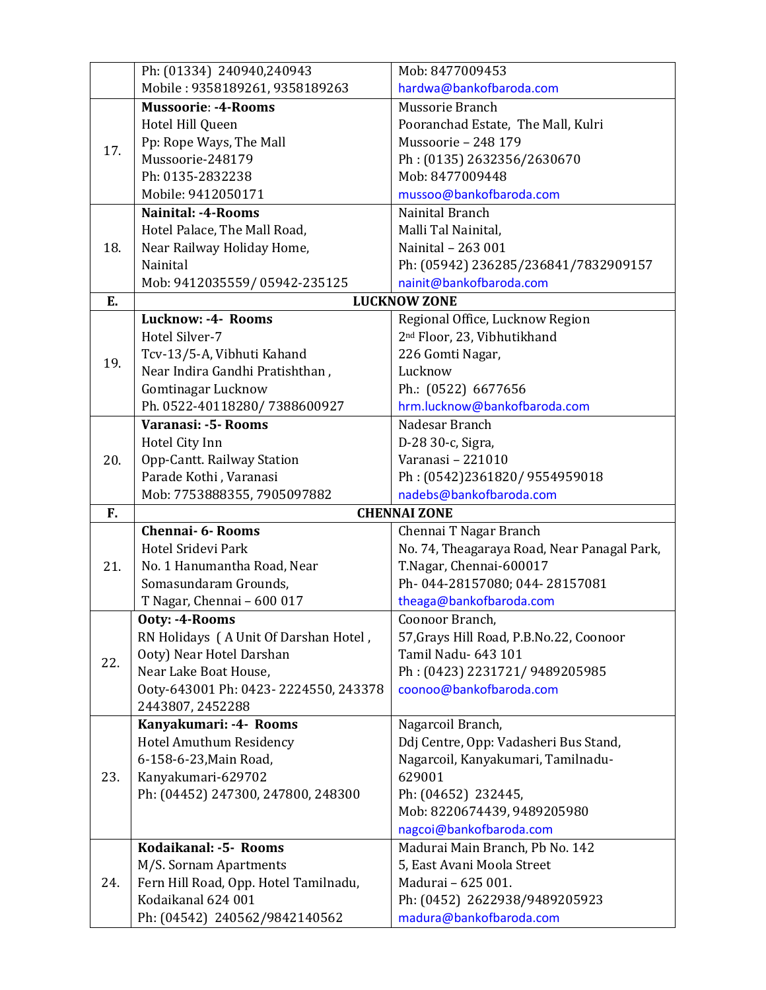|     | Ph: (01334) 240940,240943             | Mob: 8477009453                             |
|-----|---------------------------------------|---------------------------------------------|
|     | Mobile: 9358189261, 9358189263        | hardwa@bankofbaroda.com                     |
|     | <b>Mussoorie: -4-Rooms</b>            | Mussorie Branch                             |
| 17. | Hotel Hill Queen                      | Pooranchad Estate, The Mall, Kulri          |
|     | Pp: Rope Ways, The Mall               | Mussoorie - 248 179                         |
|     | Mussoorie-248179                      | Ph: (0135) 2632356/2630670                  |
|     | Ph: 0135-2832238                      | Mob: 8477009448                             |
|     | Mobile: 9412050171                    | mussoo@bankofbaroda.com                     |
|     | <b>Nainital: -4-Rooms</b>             | Nainital Branch                             |
| 18. | Hotel Palace, The Mall Road,          | Malli Tal Nainital,                         |
|     | Near Railway Holiday Home,            | Nainital - 263 001                          |
|     | Nainital                              | Ph: (05942) 236285/236841/7832909157        |
|     | Mob: 9412035559/05942-235125          | nainit@bankofbaroda.com                     |
| E.  |                                       | <b>LUCKNOW ZONE</b>                         |
|     | Lucknow: -4- Rooms                    | Regional Office, Lucknow Region             |
|     | Hotel Silver-7                        | 2 <sup>nd</sup> Floor, 23, Vibhutikhand     |
|     | Tcv-13/5-A, Vibhuti Kahand            | 226 Gomti Nagar,                            |
| 19. | Near Indira Gandhi Pratishthan,       | Lucknow                                     |
|     | <b>Gomtinagar Lucknow</b>             | Ph.: (0522) 6677656                         |
|     | Ph. 0522-40118280/7388600927          | hrm.lucknow@bankofbaroda.com                |
|     | Varanasi: -5- Rooms                   | Nadesar Branch                              |
|     | Hotel City Inn                        | D-28 30-c, Sigra,                           |
| 20. | Opp-Cantt. Railway Station            | Varanasi - 221010                           |
|     | Parade Kothi, Varanasi                | Ph: (0542)2361820/9554959018                |
|     | Mob: 7753888355, 7905097882           | nadebs@bankofbaroda.com                     |
| F.  |                                       | <b>CHENNAI ZONE</b>                         |
|     | <b>Chennai- 6- Rooms</b>              | Chennai T Nagar Branch                      |
|     | Hotel Sridevi Park                    | No. 74, Theagaraya Road, Near Panagal Park, |
| 21. | No. 1 Hanumantha Road, Near           | T.Nagar, Chennai-600017                     |
|     | Somasundaram Grounds,                 | Ph-044-28157080; 044-28157081               |
|     | T Nagar, Chennai - 600 017            | theaga@bankofbaroda.com                     |
|     | Ooty: -4-Rooms                        | Coonoor Branch,                             |
|     | RN Holidays (A Unit Of Darshan Hotel, | 57, Grays Hill Road, P.B.No.22, Coonoor     |
| 22. | Ooty) Near Hotel Darshan              | Tamil Nadu- 643 101                         |
|     | Near Lake Boat House,                 | Ph: (0423) 2231721/9489205985               |
|     | Ooty-643001 Ph: 0423-2224550, 243378  | coonoo@bankofbaroda.com                     |
|     | 2443807, 2452288                      |                                             |
| 23. | Kanyakumari: -4- Rooms                | Nagarcoil Branch,                           |
|     | Hotel Amuthum Residency               | Ddj Centre, Opp: Vadasheri Bus Stand,       |
|     | 6-158-6-23, Main Road,                | Nagarcoil, Kanyakumari, Tamilnadu-          |
|     | Kanyakumari-629702                    | 629001                                      |
|     | Ph: (04452) 247300, 247800, 248300    | Ph: (04652) 232445,                         |
|     |                                       | Mob: 8220674439, 9489205980                 |
|     |                                       | nagcoi@bankofbaroda.com                     |
| 24. | Kodaikanal: -5- Rooms                 | Madurai Main Branch, Pb No. 142             |
|     | M/S. Sornam Apartments                | 5, East Avani Moola Street                  |
|     | Fern Hill Road, Opp. Hotel Tamilnadu, | Madurai - 625 001.                          |
|     | Kodaikanal 624 001                    | Ph: (0452) 2622938/9489205923               |
|     | Ph: (04542) 240562/9842140562         | madura@bankofbaroda.com                     |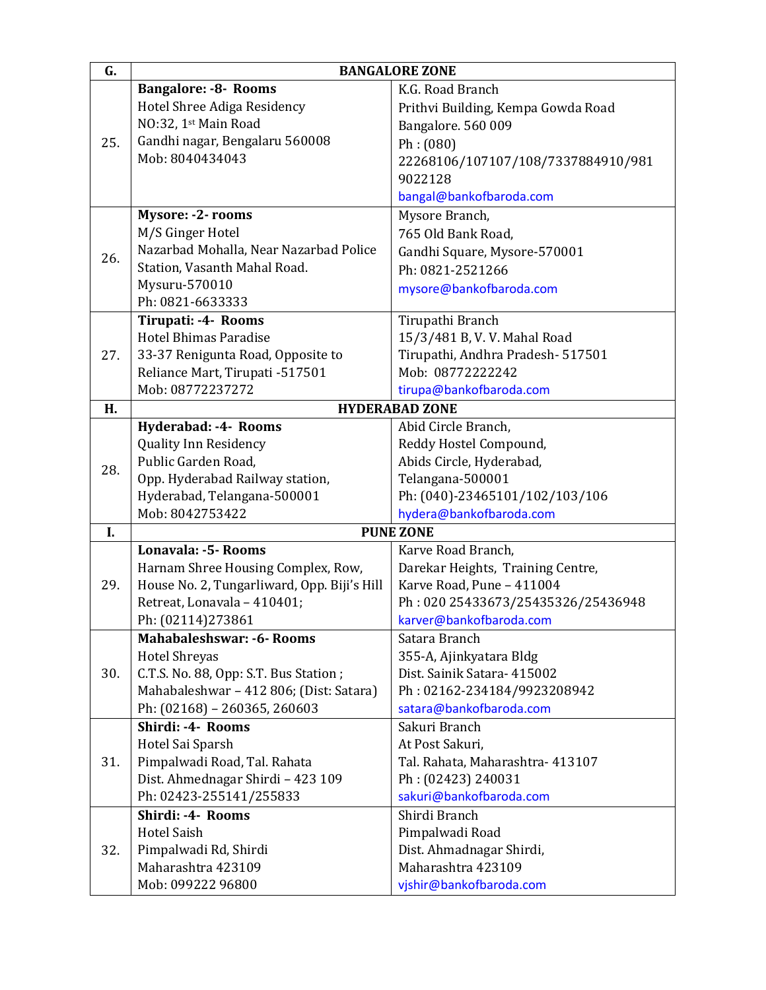| G.  |                                                          | <b>BANGALORE ZONE</b>                    |
|-----|----------------------------------------------------------|------------------------------------------|
|     | <b>Bangalore: -8- Rooms</b>                              | K.G. Road Branch                         |
|     | Hotel Shree Adiga Residency                              | Prithvi Building, Kempa Gowda Road       |
|     | NO:32, 1st Main Road                                     | Bangalore. 560 009                       |
| 25. | Gandhi nagar, Bengalaru 560008                           | Ph: (080)                                |
|     | Mob: 8040434043                                          | 22268106/107107/108/7337884910/981       |
|     |                                                          | 9022128                                  |
|     |                                                          | bangal@bankofbaroda.com                  |
|     | Mysore: -2- rooms                                        | Mysore Branch,                           |
|     | M/S Ginger Hotel                                         | 765 Old Bank Road,                       |
| 26. | Nazarbad Mohalla, Near Nazarbad Police                   | Gandhi Square, Mysore-570001             |
|     | Station, Vasanth Mahal Road.                             | Ph: 0821-2521266                         |
|     | Mysuru-570010                                            | mysore@bankofbaroda.com                  |
|     | Ph: 0821-6633333                                         |                                          |
|     | Tirupati: -4- Rooms                                      | Tirupathi Branch                         |
|     | Hotel Bhimas Paradise                                    | 15/3/481 B, V. V. Mahal Road             |
| 27. | 33-37 Renigunta Road, Opposite to                        | Tirupathi, Andhra Pradesh- 517501        |
|     | Reliance Mart, Tirupati -517501                          | Mob: 08772222242                         |
|     | Mob: 08772237272                                         | tirupa@bankofbaroda.com                  |
| H.  |                                                          | <b>HYDERABAD ZONE</b>                    |
|     | Hyderabad: -4- Rooms                                     | Abid Circle Branch,                      |
|     | <b>Quality Inn Residency</b>                             | Reddy Hostel Compound,                   |
| 28. | Public Garden Road,                                      | Abids Circle, Hyderabad,                 |
|     | Opp. Hyderabad Railway station,                          | Telangana-500001                         |
|     | Hyderabad, Telangana-500001                              | Ph: (040)-23465101/102/103/106           |
|     | Mob: 8042753422                                          | hydera@bankofbaroda.com                  |
| I.  |                                                          | <b>PUNE ZONE</b>                         |
|     | Lonavala: -5- Rooms                                      | Karve Road Branch,                       |
|     | Harnam Shree Housing Complex, Row,                       | Darekar Heights, Training Centre,        |
| 29. | House No. 2, Tungarliward, Opp. Biji's Hill              | Karve Road, Pune - 411004                |
|     | Retreat, Lonavala - 410401;                              | Ph: 020 25433673/25435326/25436948       |
|     | Ph: (02114)273861                                        | karver@bankofbaroda.com                  |
|     | <b>Mahabaleshswar: -6- Rooms</b><br><b>Hotel Shreyas</b> | Satara Branch<br>355-A, Ajinkyatara Bldg |
| 30. | C.T.S. No. 88, Opp: S.T. Bus Station;                    | Dist. Sainik Satara- 415002              |
|     | Mahabaleshwar - 412 806; (Dist: Satara)                  | Ph: 02162-234184/9923208942              |
|     | Ph: (02168) - 260365, 260603                             | satara@bankofbaroda.com                  |
|     | Shirdi: -4- Rooms                                        | Sakuri Branch                            |
| 31. | Hotel Sai Sparsh                                         | At Post Sakuri,                          |
|     | Pimpalwadi Road, Tal. Rahata                             | Tal. Rahata, Maharashtra- 413107         |
|     | Dist. Ahmednagar Shirdi - 423 109                        | Ph: (02423) 240031                       |
|     | Ph: 02423-255141/255833                                  | sakuri@bankofbaroda.com                  |
|     | Shirdi: -4- Rooms                                        | Shirdi Branch                            |
| 32. | <b>Hotel Saish</b>                                       | Pimpalwadi Road                          |
|     | Pimpalwadi Rd, Shirdi                                    | Dist. Ahmadnagar Shirdi,                 |
|     | Maharashtra 423109                                       | Maharashtra 423109                       |
|     | Mob: 099222 96800                                        | vjshir@bankofbaroda.com                  |
|     |                                                          |                                          |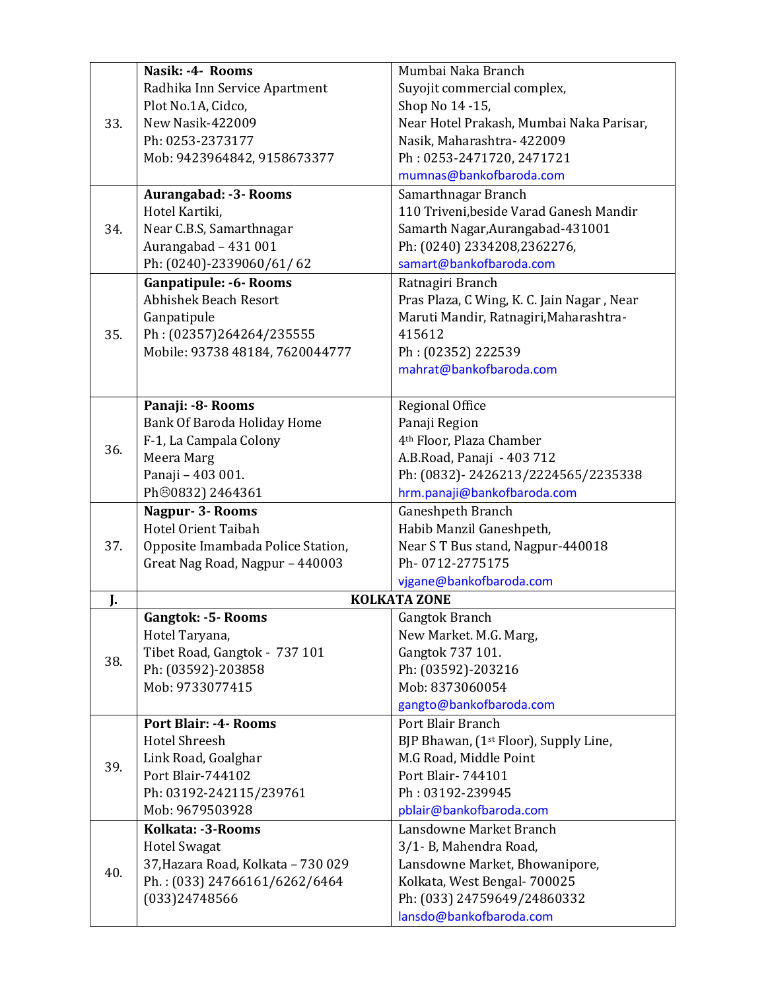|     | Nasik: -4- Rooms                   | Mumbai Naka Branch                         |
|-----|------------------------------------|--------------------------------------------|
|     | Radhika Inn Service Apartment      | Suyojit commercial complex,                |
|     | Plot No.1A, Cidco,                 | Shop No 14 -15,                            |
| 33. | New Nasik-422009                   | Near Hotel Prakash, Mumbai Naka Parisar,   |
|     | Ph: 0253-2373177                   | Nasik, Maharashtra- 422009                 |
|     | Mob: 9423964842, 9158673377        | Ph: 0253-2471720, 2471721                  |
|     |                                    | mumnas@bankofbaroda.com                    |
|     | Aurangabad: -3- Rooms              | Samarthnagar Branch                        |
|     | Hotel Kartiki,                     | 110 Triveni, beside Varad Ganesh Mandir    |
| 34. | Near C.B.S, Samarthnagar           | Samarth Nagar, Aurangabad-431001           |
|     | Aurangabad - 431 001               | Ph: (0240) 2334208,2362276,                |
|     | Ph: (0240)-2339060/61/62           | samart@bankofbaroda.com                    |
|     | <b>Ganpatipule: -6- Rooms</b>      | Ratnagiri Branch                           |
|     | <b>Abhishek Beach Resort</b>       | Pras Plaza, C Wing, K. C. Jain Nagar, Near |
|     | Ganpatipule                        | Maruti Mandir, Ratnagiri, Maharashtra-     |
| 35. | Ph: (02357)264264/235555           | 415612                                     |
|     | Mobile: 93738 48184, 7620044777    | Ph: (02352) 222539                         |
|     |                                    | mahrat@bankofbaroda.com                    |
|     |                                    |                                            |
|     | Panaji: - 8- Rooms                 | Regional Office                            |
|     | Bank Of Baroda Holiday Home        | Panaji Region                              |
|     | F-1, La Campala Colony             | 4th Floor, Plaza Chamber                   |
| 36. | Meera Marg                         | A.B.Road, Panaji - 403 712                 |
|     | Panaji - 403 001.                  | Ph: (0832)-2426213/2224565/2235338         |
|     | Ph <sup>30832</sup> ) 2464361      | hrm.panaji@bankofbaroda.com                |
|     | Nagpur- 3- Rooms                   | Ganeshpeth Branch                          |
|     | Hotel Orient Taibah                | Habib Manzil Ganeshpeth,                   |
| 37. | Opposite Imambada Police Station,  | Near S T Bus stand, Nagpur-440018          |
|     | Great Nag Road, Nagpur - 440003    | Ph-0712-2775175                            |
|     |                                    | vjgane@bankofbaroda.com                    |
| J.  |                                    | <b>KOLKATA ZONE</b>                        |
|     | <b>Gangtok: -5- Rooms</b>          | Gangtok Branch                             |
|     | Hotel Taryana,                     | New Market. M.G. Marg,                     |
| 38. | Tibet Road, Gangtok - 737 101      | Gangtok 737 101.                           |
|     | Ph: (03592)-203858                 | Ph: (03592)-203216                         |
|     | Mob: 9733077415                    | Mob: 8373060054                            |
|     |                                    | gangto@bankofbaroda.com                    |
|     | <b>Port Blair: -4- Rooms</b>       | Port Blair Branch                          |
|     | <b>Hotel Shreesh</b>               | BJP Bhawan, (1st Floor), Supply Line,      |
|     | Link Road, Goalghar                | M.G Road, Middle Point                     |
| 39. | Port Blair-744102                  | Port Blair- 744101                         |
|     | Ph: 03192-242115/239761            | Ph: 03192-239945                           |
|     | Mob: 9679503928                    | pblair@bankofbaroda.com                    |
|     | Kolkata: -3-Rooms                  | Lansdowne Market Branch                    |
| 40. | <b>Hotel Swagat</b>                | 3/1-B, Mahendra Road,                      |
|     | 37, Hazara Road, Kolkata - 730 029 | Lansdowne Market, Bhowanipore,             |
|     | Ph.: (033) 24766161/6262/6464      | Kolkata, West Bengal- 700025               |
|     | (033)24748566                      | Ph: (033) 24759649/24860332                |
|     |                                    | lansdo@bankofbaroda.com                    |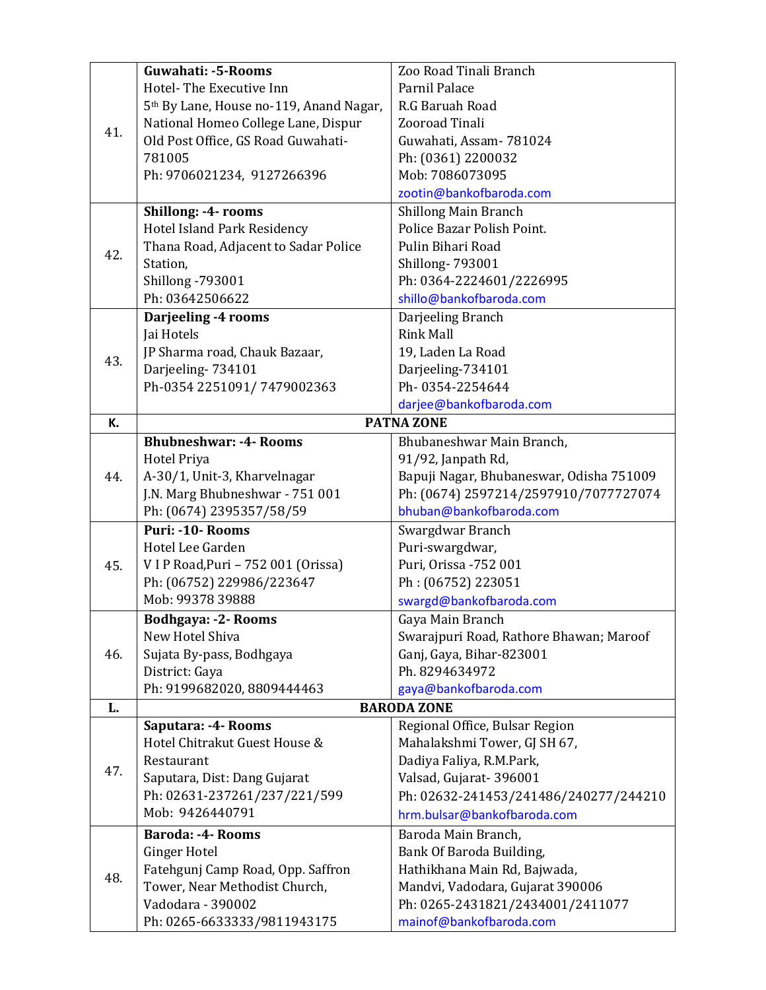|     | Guwahati: -5-Rooms                                  | Zoo Road Tinali Branch                   |
|-----|-----------------------------------------------------|------------------------------------------|
|     | Hotel-The Executive Inn                             | Parnil Palace                            |
|     | 5 <sup>th</sup> By Lane, House no-119, Anand Nagar, | R.G Baruah Road                          |
|     | National Homeo College Lane, Dispur                 | Zooroad Tinali                           |
| 41. | Old Post Office, GS Road Guwahati-                  | Guwahati, Assam-781024                   |
|     | 781005                                              | Ph: (0361) 2200032                       |
|     | Ph: 9706021234, 9127266396                          | Mob: 7086073095                          |
|     |                                                     | zootin@bankofbaroda.com                  |
|     | Shillong: -4- rooms                                 | Shillong Main Branch                     |
|     | Hotel Island Park Residency                         | Police Bazar Polish Point.               |
|     | Thana Road, Adjacent to Sadar Police                | Pulin Bihari Road                        |
| 42. | Station,                                            | <b>Shillong-793001</b>                   |
|     | <b>Shillong-793001</b>                              | Ph: 0364-2224601/2226995                 |
|     | Ph: 03642506622                                     | shillo@bankofbaroda.com                  |
|     | Darjeeling -4 rooms                                 | Darjeeling Branch                        |
|     | Jai Hotels                                          | <b>Rink Mall</b>                         |
| 43. | JP Sharma road, Chauk Bazaar,                       | 19, Laden La Road                        |
|     | Darjeeling-734101                                   | Darjeeling-734101                        |
|     | Ph-0354 2251091/7479002363                          | Ph-0354-2254644                          |
|     |                                                     | darjee@bankofbaroda.com                  |
| К.  |                                                     | <b>PATNA ZONE</b>                        |
|     | <b>Bhubneshwar: -4- Rooms</b>                       | Bhubaneshwar Main Branch,                |
|     | <b>Hotel Priya</b>                                  | 91/92, Janpath Rd,                       |
| 44. | A-30/1, Unit-3, Kharvelnagar                        | Bapuji Nagar, Bhubaneswar, Odisha 751009 |
|     | J.N. Marg Bhubneshwar - 751 001                     | Ph: (0674) 2597214/2597910/7077727074    |
|     | Ph: (0674) 2395357/58/59                            | bhuban@bankofbaroda.com                  |
|     | Puri: -10- Rooms                                    | Swargdwar Branch                         |
|     | Hotel Lee Garden                                    | Puri-swargdwar,                          |
| 45. | VIP Road, Puri - 752 001 (Orissa)                   | Puri, Orissa -752 001                    |
|     | Ph: (06752) 229986/223647                           | Ph: (06752) 223051                       |
|     | Mob: 99378 39888                                    | swargd@bankofbaroda.com                  |
|     | <b>Bodhgaya: -2- Rooms</b>                          | Gaya Main Branch                         |
|     | New Hotel Shiva                                     | Swarajpuri Road, Rathore Bhawan; Maroof  |
| 46. | Sujata By-pass, Bodhgaya                            | Ganj, Gaya, Bihar-823001                 |
|     | District: Gaya                                      | Ph. 8294634972                           |
|     | Ph: 9199682020, 8809444463                          | gaya@bankofbaroda.com                    |
| L.  |                                                     | <b>BARODA ZONE</b>                       |
|     | Saputara: -4- Rooms                                 | Regional Office, Bulsar Region           |
|     | Hotel Chitrakut Guest House &                       | Mahalakshmi Tower, GJ SH 67,             |
| 47. | Restaurant                                          | Dadiya Faliya, R.M.Park,                 |
|     | Saputara, Dist: Dang Gujarat                        | Valsad, Gujarat-396001                   |
|     | Ph: 02631-237261/237/221/599                        | Ph: 02632-241453/241486/240277/244210    |
|     | Mob: 9426440791                                     | hrm.bulsar@bankofbaroda.com              |
|     | <b>Baroda: -4- Rooms</b>                            | Baroda Main Branch,                      |
|     | <b>Ginger Hotel</b>                                 | Bank Of Baroda Building,                 |
| 48. | Fatehgunj Camp Road, Opp. Saffron                   | Hathikhana Main Rd, Bajwada,             |
|     | Tower, Near Methodist Church,                       | Mandvi, Vadodara, Gujarat 390006         |
|     | Vadodara - 390002                                   | Ph: 0265-2431821/2434001/2411077         |
|     | Ph: 0265-6633333/9811943175                         | mainof@bankofbaroda.com                  |